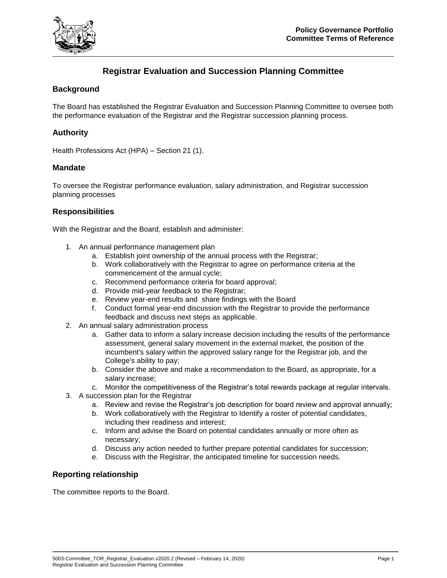

# **Registrar Evaluation and Succession Planning Committee**

# **Background**

The Board has established the Registrar Evaluation and Succession Planning Committee to oversee both the performance evaluation of the Registrar and the Registrar succession planning process.

## **Authority**

Health Professions Act (HPA) – Section 21 (1).

## **Mandate**

To oversee the Registrar performance evaluation, salary administration, and Registrar succession planning processes

## **Responsibilities**

With the Registrar and the Board, establish and administer:

- 1. An annual performance management plan
	- a. Establish joint ownership of the annual process with the Registrar;
	- b. Work collaboratively with the Registrar to agree on performance criteria at the commencement of the annual cycle;
	- c. Recommend performance criteria for board approval;
	- d. Provide mid-year feedback to the Registrar;
	- e. Review year-end results and share findings with the Board
	- f. Conduct formal year-end discussion with the Registrar to provide the performance feedback and discuss next steps as applicable.
- 2. An annual salary administration process
	- a. Gather data to inform a salary increase decision including the results of the performance assessment, general salary movement in the external market, the position of the incumbent's salary within the approved salary range for the Registrar job, and the College's ability to pay;
	- b. Consider the above and make a recommendation to the Board, as appropriate, for a salary increase;
	- c. Monitor the competitiveness of the Registrar's total rewards package at regular intervals.
- 3. A succession plan for the Registrar
	- a. Review and revise the Registrar's job description for board review and approval annually;
	- b. Work collaboratively with the Registrar to Identify a roster of potential candidates, including their readiness and interest;
	- c. Inform and advise the Board on potential candidates annually or more often as necessary;
	- d. Discuss any action needed to further prepare potential candidates for succession;
	- e. Discuss with the Registrar, the anticipated timeline for succession needs.

## **Reporting relationship**

The committee reports to the Board.